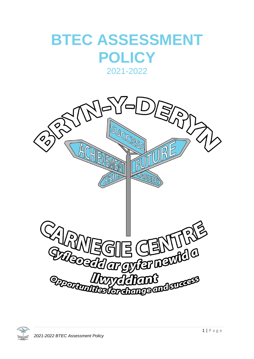# **BTEC ASSESSMENT POLICY** 2021-2022



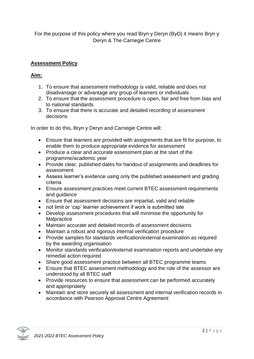For the purpose of this policy where you read Bryn y Deryn (ByD) it means Bryn y Deryn & The Carnegie Centre

## **Assessment Policy**

### **Aim:**

- 1. To ensure that assessment methodology is valid, reliable and does not disadvantage or advantage any group of learners or individuals
- 2. To ensure that the assessment procedure is open, fair and free from bias and to national standards
- 3. To ensure that there is accurate and detailed recording of assessment decisions

In order to do this, Bryn y Deryn and Carnegie Centre will:

- Ensure that learners are provided with assignments that are fit for purpose, to enable them to produce appropriate evidence for assessment
- Produce a clear and accurate assessment plan at the start of the programme/academic year
- Provide clear, published dates for handout of assignments and deadlines for assessment
- Assess learner's evidence using only the published assessment and grading criteria
- Ensure assessment practices meet current BTEC assessment requirements and guidance
- Ensure that assessment decisions are impartial, valid and reliable
- not limit or 'cap' learner achievement if work is submitted late
- Develop assessment procedures that will minimise the opportunity for **Malpractice**
- Maintain accurate and detailed records of assessment decisions
- Maintain a robust and rigorous internal verification procedure
- Provide samples for standards verification/external examination as required by the awarding organisation
- Monitor standards verification/external examination reports and undertake any remedial action required
- Share good assessment practice between all BTEC programme teams
- Ensure that BTEC assessment methodology and the role of the assessor are understood by all BTEC staff
- Provide resources to ensure that assessment can be performed accurately and appropriately
- Maintain and store securely all assessment and internal verification records in accordance with Pearson Approval Centre Agreement

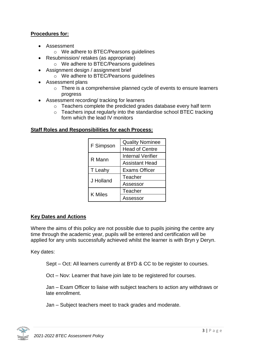### **Procedures for:**

- Assessment
	- o We adhere to BTEC/Pearsons guidelines
- Resubmission/ retakes (as appropriate)
	- o We adhere to BTEC/Pearsons guidelines
- Assignment design / assignment brief
	- o We adhere to BTEC/Pearsons guidelines
- Assessment plans
	- o There is a comprehensive planned cycle of events to ensure learners progress
- Assessment recording/ tracking for learners
	- o Teachers complete the predicted grades database every half term
	- o Teachers input regularly into the standardise school BTEC tracking form which the lead IV monitors

#### **Staff Roles and Responsibilities for each Process:**

| F Simpson      | <b>Quality Nominee</b>   |
|----------------|--------------------------|
|                | <b>Head of Centre</b>    |
| R Mann         | <b>Internal Verifier</b> |
|                | <b>Assistant Head</b>    |
| T Leahy        | <b>Exams Officer</b>     |
| J Holland      | Teacher                  |
|                | Assessor                 |
| <b>K</b> Miles | Teacher                  |
|                | Assessor                 |

## **Key Dates and Actions**

Where the aims of this policy are not possible due to pupils joining the centre any time through the academic year, pupils will be entered and certification will be applied for any units successfully achieved whilst the learner is with Bryn y Deryn.

Key dates:

Sept – Oct: All learners currently at BYD & CC to be register to courses.

Oct – Nov: Learner that have join late to be registered for courses.

Jan – Exam Officer to liaise with subject teachers to action any withdraws or late enrollment.

Jan – Subject teachers meet to track grades and moderate.